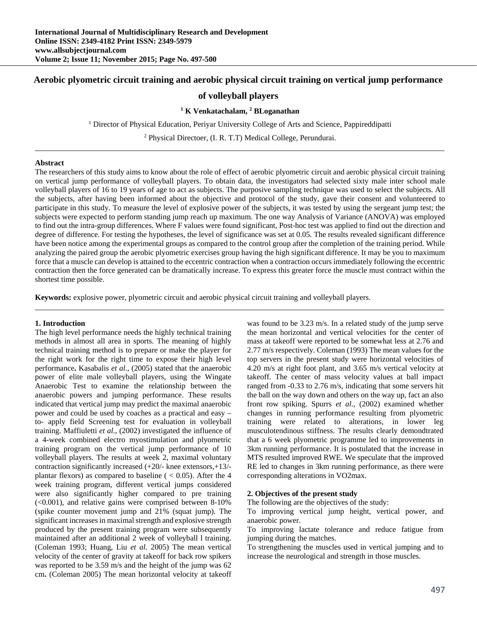# **Aerobic plyometric circuit training and aerobic physical circuit training on vertical jump performance**

# **of volleyball players**

# <sup>1</sup> **K** Venkatachalam, <sup>2</sup> **BLoganathan**

<sup>1</sup> Director of Physical Education, Periyar University College of Arts and Science, Pappireddipatti

<sup>2</sup> Physical Directoer, (I. R. T.T) Medical College, Perundurai.

#### **Abstract**

The researchers of this study aims to know about the role of effect of aerobic plyometric circuit and aerobic physical circuit training on vertical jump performance of volleyball players. To obtain data, the investigators had selected sixty male inter school male volleyball players of 16 to 19 years of age to act as subjects. The purposive sampling technique was used to select the subjects. All the subjects, after having been informed about the objective and protocol of the study, gave their consent and volunteered to participate in this study. To measure the level of explosive power of the subjects, it was tested by using the sergeant jump test; the subjects were expected to perform standing jump reach up maximum. The one way Analysis of Variance (ANOVA) was employed to find out the intra-group differences. Where F values were found significant, Post-hoc test was applied to find out the direction and degree of difference. For testing the hypotheses, the level of significance was set at 0.05. The results revealed significant difference have been notice among the experimental groups as compared to the control group after the completion of the training period. While analyzing the paired group the aerobic plyometric exercises group having the high significant difference. It may be you to maximum force that a muscle can develop is attained to the eccentric contraction when a contraction occurs immediately following the eccentric contraction then the force generated can be dramatically increase. To express this greater force the muscle must contract within the shortest time possible.

**Keywords:** explosive power, plyometric circuit and aerobic physical circuit training and volleyball players.

### **1. Introduction**

The high level performance needs the highly technical training methods in almost all area in sports. The meaning of highly technical training method is to prepare or make the player for the right work for the right time to expose their high level performance**.** Kasabalis *et al*., (2005) stated that the anaerobic power of elite male volleyball players, using the Wingate Anaerobic Test to examine the relationship between the anaerobic powers and jumping performance. These results indicated that vertical jump may predict the maximal anaerobic power and could be used by coaches as a practical and easy – to- apply field Screening test for evaluation in volleyball training. Maffiuletti *et al*., (2002) investigated the influence of a 4-week combined electro myostimulation and plyometric training program on the vertical jump performance of 10 volleyball players. The results at week 2, maximal voluntary contraction significantly increased (+20/- knee extensors,+13/ plantar flexors) as compared to baseline  $(< 0.05)$ . After the 4 week training program, different vertical jumps considered were also significantly higher compared to pre training (<0.001), and relative gains were comprised between 8-10% (spike counter movement jump and 21% (squat jump). The significant increases in maximal strength and explosive strength produced by the present training program were subsequently maintained after an additional 2 week of volleyball l training. (Coleman 1993; Huang, Liu *et al*. 2005) The mean vertical velocity of the center of gravity at takeoff for back row spikers was reported to be 3.59 m/s and the height of the jump was 62 cm**.** (Coleman 2005) The mean horizontal velocity at takeoff

was found to be 3.23 m/s. In a related study of the jump serve the mean horizontal and vertical velocities for the center of mass at takeoff were reported to be somewhat less at 2.76 and 2.77 m/s respectively. Coleman (1993) The mean values for the top servers in the present study were horizontal velocities of 4.20 m/s at right foot plant, and 3.65 m/s vertical velocity at takeoff. The center of mass velocity values at ball impact ranged from -0.33 to 2.76 m/s, indicating that some servers hit the ball on the way down and others on the way up, fact an also front row spiking. Spurrs *et al*., (2002) examined whether changes in running performance resulting from plyometric training were related to alterations, in lower leg musculotendinous stiffness. The results clearly demondtrated that a 6 week plyometric programme led to improvements in 3km running performance. It is postulated that the increase in MTS resulted improved RWE. We speculate that the improved RE led to changes in 3km running performance, as there were corresponding alterations in VO2max.

### **2. Objectives of the present study**

The following are the objectives of the study:

To improving vertical jump height, vertical power, and anaerobic power.

To improving lactate tolerance and reduce fatigue from jumping during the matches.

To strengthening the muscles used in vertical jumping and to increase the neurological and strength in those muscles.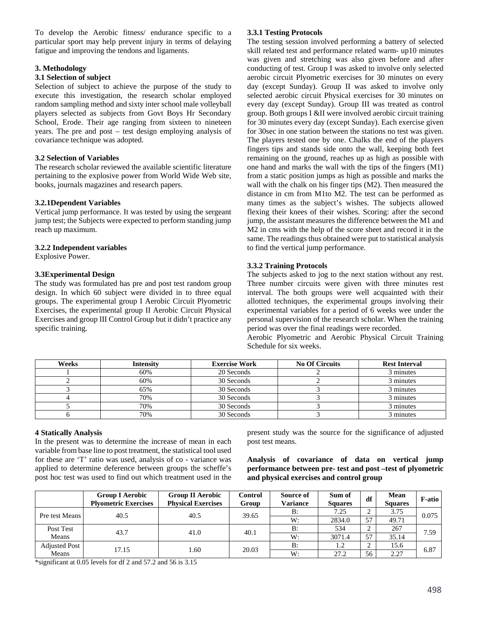To develop the Aerobic fitness/ endurance specific to a particular sport may help prevent injury in terms of delaying fatigue and improving the tendons and ligaments.

# **3. Methodology**

### **3.1 Selection of subject**

Selection of subject to achieve the purpose of the study to execute this investigation, the research scholar employed random sampling method and sixty inter school male volleyball players selected as subjects from Govt Boys Hr Secondary School, Erode. Their age ranging from sixteen to nineteen years. The pre and post – test design employing analysis of covariance technique was adopted.

## **3.2 Selection of Variables**

The research scholar reviewed the available scientific literature pertaining to the explosive power from World Wide Web site, books, journals magazines and research papers.

### **3.2.1Dependent Variables**

Vertical jump performance. It was tested by using the sergeant jump test; the Subjects were expected to perform standing jump reach up maximum.

### **3.2.2 Independent variables**

Explosive Power.

# **3.3Experimental Design**

The study was formulated has pre and post test random group design. In which 60 subject were divided in to three equal groups. The experimental group I Aerobic Circuit Plyometric Exercises, the experimental group II Aerobic Circuit Physical Exercises and group III Control Group but it didn't practice any specific training.

# **3.3.1 Testing Protocols**

The testing session involved performing a battery of selected skill related test and performance related warm- up10 minutes was given and stretching was also given before and after conducting of test. Group I was asked to involve only selected aerobic circuit Plyometric exercises for 30 minutes on every day (except Sunday). Group II was asked to involve only selected aerobic circuit Physical exercises for 30 minutes on every day (except Sunday). Group III was treated as control group. Both groups I &II were involved aerobic circuit training for 30 minutes every day (except Sunday). Each exercise given for 30sec in one station between the stations no test was given. The players tested one by one. Chalks the end of the players fingers tips and stands side onto the wall, keeping both feet remaining on the ground, reaches up as high as possible with one hand and marks the wall with the tips of the fingers (M1) from a static position jumps as high as possible and marks the wall with the chalk on his finger tips  $(M2)$ . Then measured the distance in cm from M1to M2. The test can be performed as many times as the subject's wishes. The subjects allowed flexing their knees of their wishes. Scoring: after the second jump, the assistant measures the difference between the M1 and M2 in cms with the help of the score sheet and record it in the same. The readings thus obtained were put to statistical analysis to find the vertical jump performance.

# **3.3.2 Training Protocols**

The subjects asked to jog to the next station without any rest. Three number circuits were given with three minutes rest interval. The both groups were well acquainted with their allotted techniques, the experimental groups involving their experimental variables for a period of 6 weeks wee under the personal supervision of the research scholar. When the training period was over the final readings were recorded.

Aerobic Plyometric and Aerobic Physical Circuit Training Schedule for six weeks.

| Weeks | <b>Intensity</b> | <b>Exercise Work</b> | <b>No Of Circuits</b> | <b>Rest Interval</b> |
|-------|------------------|----------------------|-----------------------|----------------------|
|       | 60%              | 20 Seconds           |                       | 3 minutes            |
|       | 60%              | 30 Seconds           |                       | 3 minutes            |
|       | 65%              | 30 Seconds           |                       | 3 minutes            |
|       | 70%              | 30 Seconds           |                       | 3 minutes            |
|       | 70%              | 30 Seconds           |                       | 3 minutes            |
|       | 70%              | 30 Seconds           |                       | 3 minutes            |

### **4 Statically Analysis**

In the present was to determine the increase of mean in each variable from base line to post treatment, the statistical tool used for these are 'T' ratio was used, analysis of co - variance was applied to determine deference between groups the scheffe's post hoc test was used to find out which treatment used in the

present study was the source for the significance of adjusted post test means.

**Analysis of covariance of data on vertical jump performance between pre- test and post –test of plyometric and physical exercises and control group**

|                | <b>Group I Aerobic</b><br><b>Plyometric Exercises</b> | <b>Group II Aerobic</b><br><b>Physical Exercises</b> | Control<br>Group | Source of<br><b>Variance</b> | Sum of<br><b>Squares</b> | df | Mean<br><b>Squares</b> | <b>F</b> -atio |
|----------------|-------------------------------------------------------|------------------------------------------------------|------------------|------------------------------|--------------------------|----|------------------------|----------------|
| Pre test Means | 40.5                                                  | 40.5                                                 | 39.65            | B:                           | 7.25                     | ∼  | 3.75                   | 0.075          |
|                |                                                       |                                                      |                  | W:                           | 2834.0                   | 57 | 49.71                  |                |
| Post Test      | 43.7                                                  | 41.0                                                 | 40.1             | B:                           | 534                      |    | 267                    | 7.59           |
| Means          |                                                       |                                                      |                  | W:                           | 3071.4                   | 57 | 35.14                  |                |
| Adjusted Post  | 17.15                                                 | l.60                                                 | 20.03            | B:                           | 1.2                      |    | 15.6                   | 6.87           |
| Means          |                                                       |                                                      |                  | W:                           | 27.2                     | 56 | 2.27                   |                |

\*significant at 0.05 levels for df 2 and 57.2 and 56 is 3.15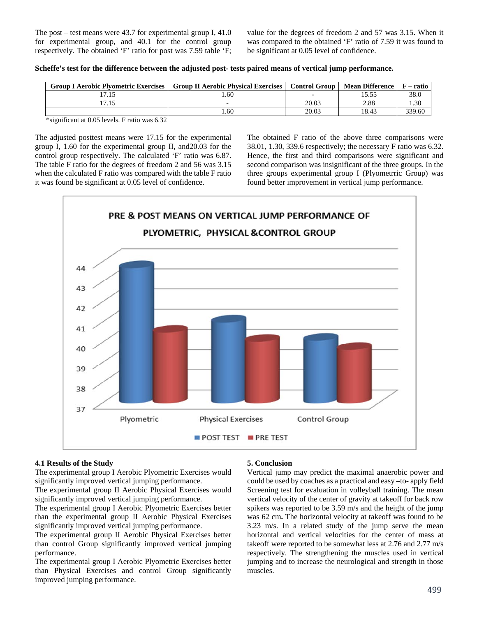The post – test means were 43.7 for experimental group I, 41.0 for experimental group, and 40.1 for the control group respectively. The obtained 'F' ratio for post was 7.59 table 'F;

value for the degrees of freedom 2 and 57 was 3.15. When it was compared to the obtained 'F' ratio of 7.59 it was found to be significant at 0.05 level of confidence.

|  |  |  |  | Scheffe's test for the difference between the adjusted post- tests paired means of vertical jump performance. |
|--|--|--|--|---------------------------------------------------------------------------------------------------------------|
|  |  |  |  |                                                                                                               |

| <b>Group I Aerobic Plyometric Exercises</b> | <b>Group II Aerobic Physical Exercises</b> | <b>Control Group</b> | <b>Mean Difference</b> | – ratio |
|---------------------------------------------|--------------------------------------------|----------------------|------------------------|---------|
|                                             | .60                                        |                      | 15.55                  | 38.0    |
|                                             |                                            | 20.03                | 2.88                   | 1.30    |
|                                             | .60                                        | 20.03                | 18.43                  | 339.60  |

\*significant at 0.05 levels. F ratio was 6.32

The adjusted posttest means were 17.15 for the experimental group I, 1.60 for the experimental group II, and20.03 for the control group respectively. The calculated 'F' ratio was 6.87. The table F ratio for the degrees of freedom 2 and 56 was 3.15 when the calculated F ratio was compared with the table F ratio it was found be significant at 0.05 level of confidence.

The obtained F ratio of the above three comparisons were 38.01, 1.30, 339.6 respectively; the necessary F ratio was 6.32. Hence, the first and third comparisons were significant and second comparison was insignificant of the three groups. In the three groups experimental group I (Plyometrric Group) was found better improvement in vertical jump performance.



#### **4.1 Results of the Study**

The experimental group I Aerobic Plyometric Exercises would significantly improved vertical jumping performance.

The experimental group II Aerobic Physical Exercises would significantly improved vertical jumping performance.

The experimental group I Aerobic Plyometric Exercises better than the experimental group II Aerobic Physical Exercises significantly improved vertical jumping performance.

The experimental group II Aerobic Physical Exercises better than control Group significantly improved vertical jumping performance.

The experimental group I Aerobic Plyometric Exercises better than Physical Exercises and control Group significantly improved jumping performance.

### **5. Conclusion**

Vertical jump may predict the maximal anaerobic power and could be used by coaches as a practical and easy –to- apply field Screening test for evaluation in volleyball training. The mean vertical velocity of the center of gravity at takeoff for back row spikers was reported to be 3.59 m/s and the height of the jump was 62 cm**.** The horizontal velocity at takeoff was found to be 3.23 m/s. In a related study of the jump serve the mean horizontal and vertical velocities for the center of mass at takeoff were reported to be somewhat less at 2.76 and 2.77 m/s respectively. The strengthening the muscles used in vertical jumping and to increase the neurological and strength in those muscles.